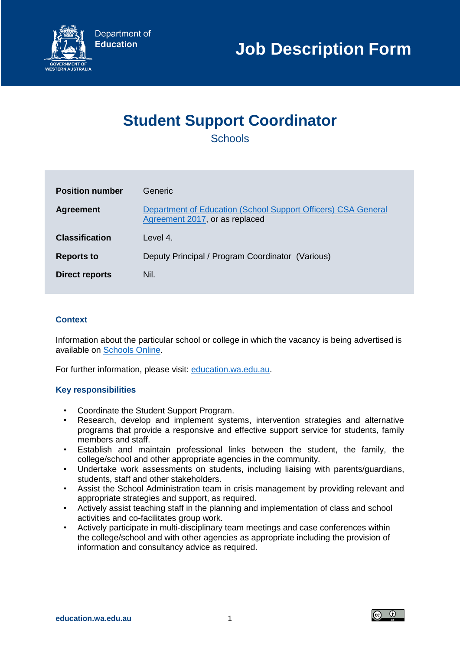

# **Student Support Coordinator**

**Schools** 

| <b>Position number</b> | Generic.                                                                                        |
|------------------------|-------------------------------------------------------------------------------------------------|
| <b>Agreement</b>       | Department of Education (School Support Officers) CSA General<br>Agreement 2017, or as replaced |
| <b>Classification</b>  | Level 4.                                                                                        |
| <b>Reports to</b>      | Deputy Principal / Program Coordinator (Various)                                                |
| <b>Direct reports</b>  | Nil.                                                                                            |

## **Context**

Information about the particular school or college in which the vacancy is being advertised is available on [Schools Online.](https://www.det.wa.edu.au/schoolsonline/home.do)

For further information, please visit: [education.wa.edu.au.](https://www.education.wa.edu.au/)

## **Key responsibilities**

- Coordinate the Student Support Program.
- Research, develop and implement systems, intervention strategies and alternative programs that provide a responsive and effective support service for students, family members and staff.
- Establish and maintain professional links between the student, the family, the college/school and other appropriate agencies in the community.
- Undertake work assessments on students, including liaising with parents/guardians, students, staff and other stakeholders.
- Assist the School Administration team in crisis management by providing relevant and appropriate strategies and support, as required.
- Actively assist teaching staff in the planning and implementation of class and school activities and co-facilitates group work.
- Actively participate in multi-disciplinary team meetings and case conferences within the college/school and with other agencies as appropriate including the provision of information and consultancy advice as required.